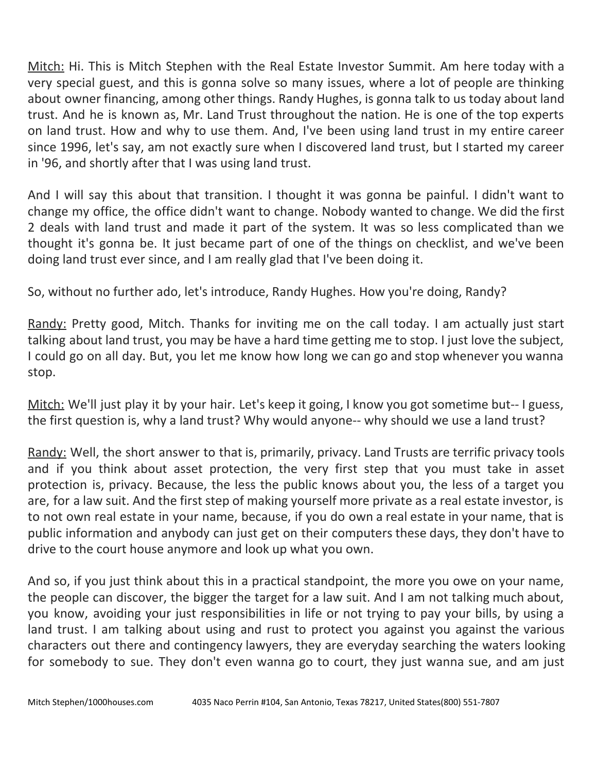Mitch: Hi. This is Mitch Stephen with the Real Estate Investor Summit. Am here today with a very special guest, and this is gonna solve so many issues, where a lot of people are thinking about owner financing, among other things. Randy Hughes, is gonna talk to us today about land trust. And he is known as, Mr. Land Trust throughout the nation. He is one of the top experts on land trust. How and why to use them. And, I've been using land trust in my entire career since 1996, let's say, am not exactly sure when I discovered land trust, but I started my career in '96, and shortly after that I was using land trust.

And I will say this about that transition. I thought it was gonna be painful. I didn't want to change my office, the office didn't want to change. Nobody wanted to change. We did the first 2 deals with land trust and made it part of the system. It was so less complicated than we thought it's gonna be. It just became part of one of the things on checklist, and we've been doing land trust ever since, and I am really glad that I've been doing it.

So, without no further ado, let's introduce, Randy Hughes. How you're doing, Randy?

Randy: Pretty good, Mitch. Thanks for inviting me on the call today. I am actually just start talking about land trust, you may be have a hard time getting me to stop. I just love the subject, I could go on all day. But, you let me know how long we can go and stop whenever you wanna stop.

Mitch: We'll just play it by your hair. Let's keep it going, I know you got sometime but-- I guess, the first question is, why a land trust? Why would anyone-- why should we use a land trust?

Randy: Well, the short answer to that is, primarily, privacy. Land Trusts are terrific privacy tools and if you think about asset protection, the very first step that you must take in asset protection is, privacy. Because, the less the public knows about you, the less of a target you are, for a law suit. And the first step of making yourself more private as a real estate investor, is to not own real estate in your name, because, if you do own a real estate in your name, that is public information and anybody can just get on their computers these days, they don't have to drive to the court house anymore and look up what you own.

And so, if you just think about this in a practical standpoint, the more you owe on your name, the people can discover, the bigger the target for a law suit. And I am not talking much about, you know, avoiding your just responsibilities in life or not trying to pay your bills, by using a land trust. I am talking about using and rust to protect you against you against the various characters out there and contingency lawyers, they are everyday searching the waters looking for somebody to sue. They don't even wanna go to court, they just wanna sue, and am just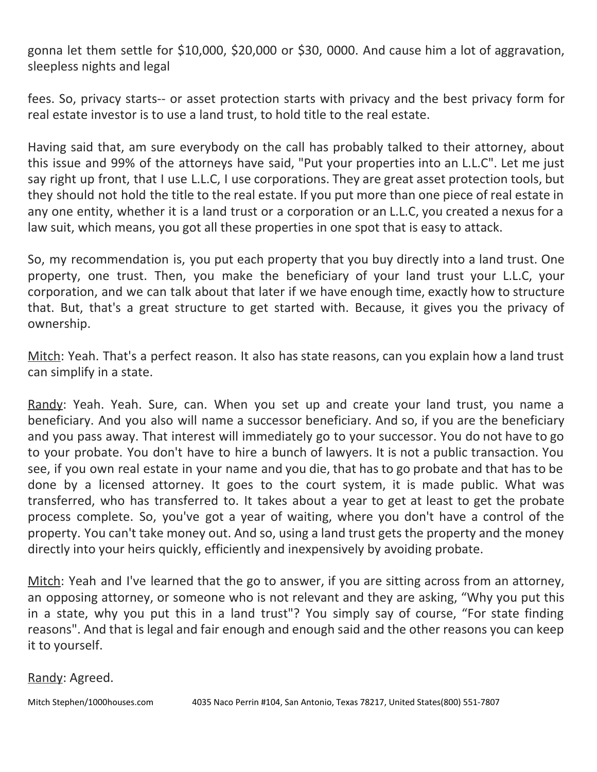gonna let them settle for \$10,000, \$20,000 or \$30, 0000. And cause him a lot of aggravation, sleepless nights and legal

fees. So, privacy starts-- or asset protection starts with privacy and the best privacy form for real estate investor is to use a land trust, to hold title to the real estate.

Having said that, am sure everybody on the call has probably talked to their attorney, about this issue and 99% of the attorneys have said, "Put your properties into an L.L.C". Let me just say right up front, that I use L.L.C, I use corporations. They are great asset protection tools, but they should not hold the title to the real estate. If you put more than one piece of real estate in any one entity, whether it is a land trust or a corporation or an L.L.C, you created a nexus for a law suit, which means, you got all these properties in one spot that is easy to attack.

So, my recommendation is, you put each property that you buy directly into a land trust. One property, one trust. Then, you make the beneficiary of your land trust your L.L.C, your corporation, and we can talk about that later if we have enough time, exactly how to structure that. But, that's a great structure to get started with. Because, it gives you the privacy of ownership.

Mitch: Yeah. That's a perfect reason. It also has state reasons, can you explain how a land trust can simplify in a state.

Randy: Yeah. Yeah. Sure, can. When you set up and create your land trust, you name a beneficiary. And you also will name a successor beneficiary. And so, if you are the beneficiary and you pass away. That interest will immediately go to your successor. You do not have to go to your probate. You don't have to hire a bunch of lawyers. It is not a public transaction. You see, if you own real estate in your name and you die, that has to go probate and that has to be done by a licensed attorney. It goes to the court system, it is made public. What was transferred, who has transferred to. It takes about a year to get at least to get the probate process complete. So, you've got a year of waiting, where you don't have a control of the property. You can't take money out. And so, using a land trust gets the property and the money directly into your heirs quickly, efficiently and inexpensively by avoiding probate.

Mitch: Yeah and I've learned that the go to answer, if you are sitting across from an attorney, an opposing attorney, or someone who is not relevant and they are asking, "Why you put this in a state, why you put this in a land trust"? You simply say of course, "For state finding reasons". And that is legal and fair enough and enough said and the other reasons you can keep it to yourself.

Randy: Agreed.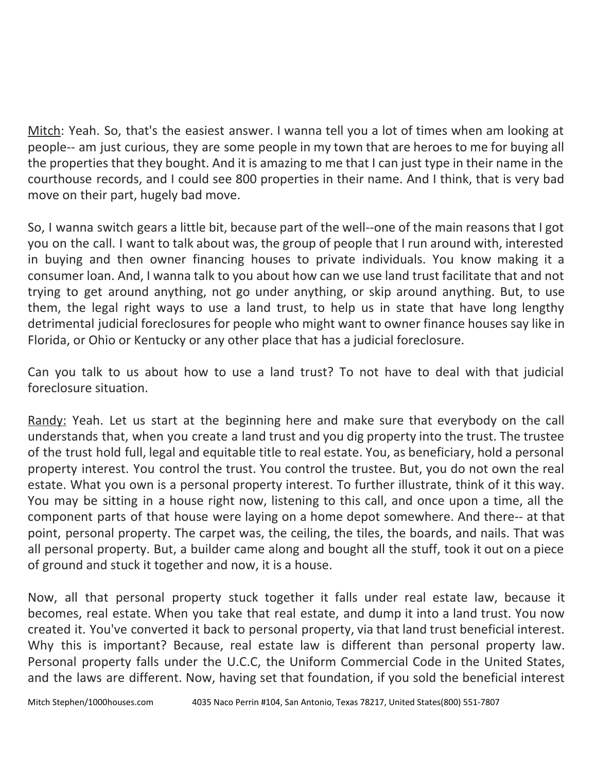Mitch: Yeah. So, that's the easiest answer. I wanna tell you a lot of times when am looking at people-- am just curious, they are some people in my town that are heroes to me for buying all the properties that they bought. And it is amazing to me that I can just type in their name in the courthouse records, and I could see 800 properties in their name. And I think, that is very bad move on their part, hugely bad move.

So, I wanna switch gears a little bit, because part of the well--one of the main reasons that I got you on the call. I want to talk about was, the group of people that I run around with, interested in buying and then owner financing houses to private individuals. You know making it a consumer loan. And, I wanna talk to you about how can we use land trust facilitate that and not trying to get around anything, not go under anything, or skip around anything. But, to use them, the legal right ways to use a land trust, to help us in state that have long lengthy detrimental judicial foreclosures for people who might want to owner finance houses say like in Florida, or Ohio or Kentucky or any other place that has a judicial foreclosure.

Can you talk to us about how to use a land trust? To not have to deal with that judicial foreclosure situation.

Randy: Yeah. Let us start at the beginning here and make sure that everybody on the call understands that, when you create a land trust and you dig property into the trust. The trustee of the trust hold full, legal and equitable title to real estate. You, as beneficiary, hold a personal property interest. You control the trust. You control the trustee. But, you do not own the real estate. What you own is a personal property interest. To further illustrate, think of it this way. You may be sitting in a house right now, listening to this call, and once upon a time, all the component parts of that house were laying on a home depot somewhere. And there-- at that point, personal property. The carpet was, the ceiling, the tiles, the boards, and nails. That was all personal property. But, a builder came along and bought all the stuff, took it out on a piece of ground and stuck it together and now, it is a house.

Now, all that personal property stuck together it falls under real estate law, because it becomes, real estate. When you take that real estate, and dump it into a land trust. You now created it. You've converted it back to personal property, via that land trust beneficial interest. Why this is important? Because, real estate law is different than personal property law. Personal property falls under the U.C.C, the Uniform Commercial Code in the United States, and the laws are different. Now, having set that foundation, if you sold the beneficial interest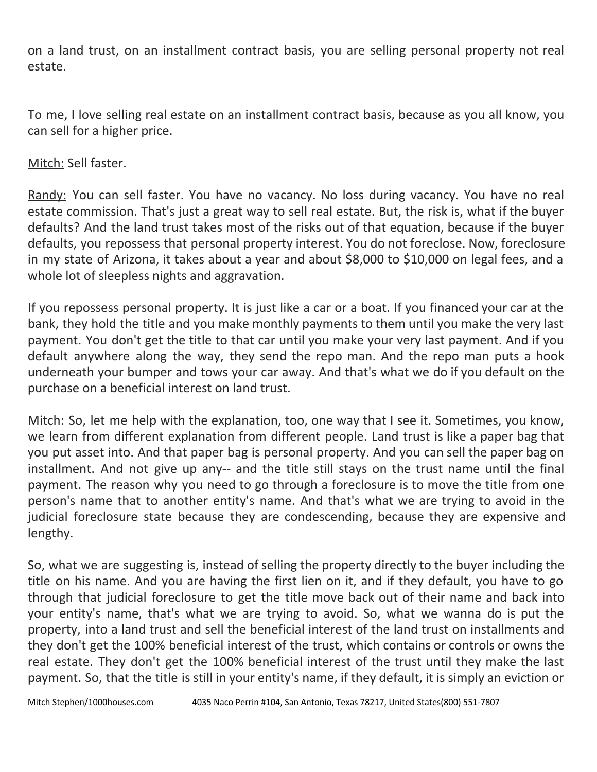on a land trust, on an installment contract basis, you are selling personal property not real estate.

To me, I love selling real estate on an installment contract basis, because as you all know, you can sell for a higher price.

Mitch: Sell faster.

Randy: You can sell faster. You have no vacancy. No loss during vacancy. You have no real estate commission. That's just a great way to sell real estate. But, the risk is, what if the buyer defaults? And the land trust takes most of the risks out of that equation, because if the buyer defaults, you repossess that personal property interest. You do not foreclose. Now, foreclosure in my state of Arizona, it takes about a year and about \$8,000 to \$10,000 on legal fees, and a whole lot of sleepless nights and aggravation.

If you repossess personal property. It is just like a car or a boat. If you financed your car at the bank, they hold the title and you make monthly payments to them until you make the very last payment. You don't get the title to that car until you make your very last payment. And if you default anywhere along the way, they send the repo man. And the repo man puts a hook underneath your bumper and tows your car away. And that's what we do if you default on the purchase on a beneficial interest on land trust.

Mitch: So, let me help with the explanation, too, one way that I see it. Sometimes, you know, we learn from different explanation from different people. Land trust is like a paper bag that you put asset into. And that paper bag is personal property. And you can sell the paper bag on installment. And not give up any-- and the title still stays on the trust name until the final payment. The reason why you need to go through a foreclosure is to move the title from one person's name that to another entity's name. And that's what we are trying to avoid in the judicial foreclosure state because they are condescending, because they are expensive and lengthy.

So, what we are suggesting is, instead of selling the property directly to the buyer including the title on his name. And you are having the first lien on it, and if they default, you have to go through that judicial foreclosure to get the title move back out of their name and back into your entity's name, that's what we are trying to avoid. So, what we wanna do is put the property, into a land trust and sell the beneficial interest of the land trust on installments and they don't get the 100% beneficial interest of the trust, which contains or controls or owns the real estate. They don't get the 100% beneficial interest of the trust until they make the last payment. So, that the title is still in your entity's name, if they default, it is simply an eviction or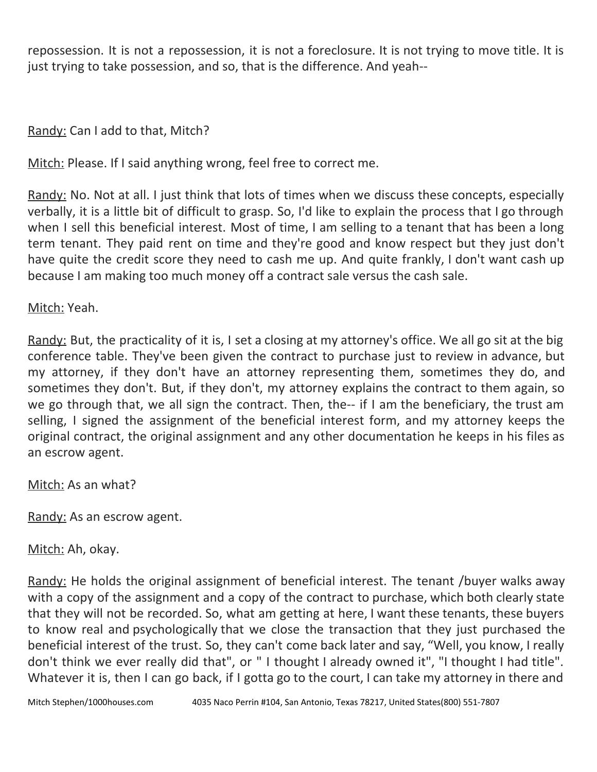repossession. It is not a repossession, it is not a foreclosure. It is not trying to move title. It is just trying to take possession, and so, that is the difference. And yeah--

Randy: Can I add to that, Mitch?

Mitch: Please. If I said anything wrong, feel free to correct me.

Randy: No. Not at all. I just think that lots of times when we discuss these concepts, especially verbally, it is a little bit of difficult to grasp. So, I'd like to explain the process that I go through when I sell this beneficial interest. Most of time, I am selling to a tenant that has been a long term tenant. They paid rent on time and they're good and know respect but they just don't have quite the credit score they need to cash me up. And quite frankly, I don't want cash up because I am making too much money off a contract sale versus the cash sale.

#### Mitch: Yeah.

Randy: But, the practicality of it is, I set a closing at my attorney's office. We all go sit at the big conference table. They've been given the contract to purchase just to review in advance, but my attorney, if they don't have an attorney representing them, sometimes they do, and sometimes they don't. But, if they don't, my attorney explains the contract to them again, so we go through that, we all sign the contract. Then, the-- if I am the beneficiary, the trust am selling, I signed the assignment of the beneficial interest form, and my attorney keeps the original contract, the original assignment and any other documentation he keeps in his files as an escrow agent.

Mitch: As an what?

Randy: As an escrow agent.

Mitch: Ah, okay.

Randy: He holds the original assignment of beneficial interest. The tenant /buyer walks away with a copy of the assignment and a copy of the contract to purchase, which both clearly state that they will not be recorded. So, what am getting at here, I want these tenants, these buyers to know real and psychologically that we close the transaction that they just purchased the beneficial interest of the trust. So, they can't come back later and say, "Well, you know, I really don't think we ever really did that", or " I thought I already owned it", "I thought I had title". Whatever it is, then I can go back, if I gotta go to the court, I can take my attorney in there and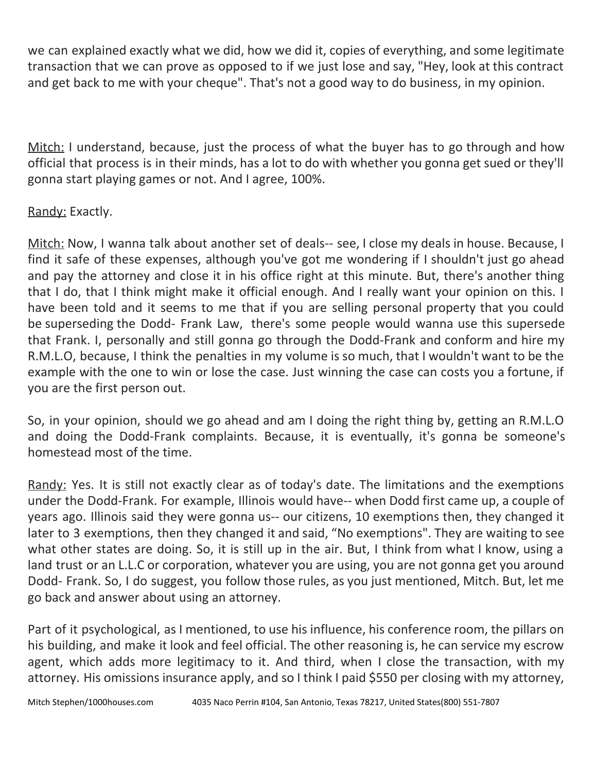we can explained exactly what we did, how we did it, copies of everything, and some legitimate transaction that we can prove as opposed to if we just lose and say, "Hey, look at this contract and get back to me with your cheque". That's not a good way to do business, in my opinion.

Mitch: I understand, because, just the process of what the buyer has to go through and how official that process is in their minds, has a lot to do with whether you gonna get sued or they'll gonna start playing games or not. And I agree, 100%.

# Randy: Exactly.

Mitch: Now, I wanna talk about another set of deals-- see, I close my deals in house. Because, I find it safe of these expenses, although you've got me wondering if I shouldn't just go ahead and pay the attorney and close it in his office right at this minute. But, there's another thing that I do, that I think might make it official enough. And I really want your opinion on this. I have been told and it seems to me that if you are selling personal property that you could be superseding the Dodd- Frank Law, there's some people would wanna use this supersede that Frank. I, personally and still gonna go through the Dodd-Frank and conform and hire my R.M.L.O, because, I think the penalties in my volume is so much, that I wouldn't want to be the example with the one to win or lose the case. Just winning the case can costs you a fortune, if you are the first person out.

So, in your opinion, should we go ahead and am I doing the right thing by, getting an R.M.L.O and doing the Dodd-Frank complaints. Because, it is eventually, it's gonna be someone's homestead most of the time.

Randy: Yes. It is still not exactly clear as of today's date. The limitations and the exemptions under the Dodd-Frank. For example, Illinois would have-- when Dodd first came up, a couple of years ago. Illinois said they were gonna us-- our citizens, 10 exemptions then, they changed it later to 3 exemptions, then they changed it and said, "No exemptions". They are waiting to see what other states are doing. So, it is still up in the air. But, I think from what I know, using a land trust or an L.L.C or corporation, whatever you are using, you are not gonna get you around Dodd- Frank. So, I do suggest, you follow those rules, as you just mentioned, Mitch. But, let me go back and answer about using an attorney.

Part of it psychological, as I mentioned, to use his influence, his conference room, the pillars on his building, and make it look and feel official. The other reasoning is, he can service my escrow agent, which adds more legitimacy to it. And third, when I close the transaction, with my attorney. His omissions insurance apply, and so I think I paid \$550 per closing with my attorney,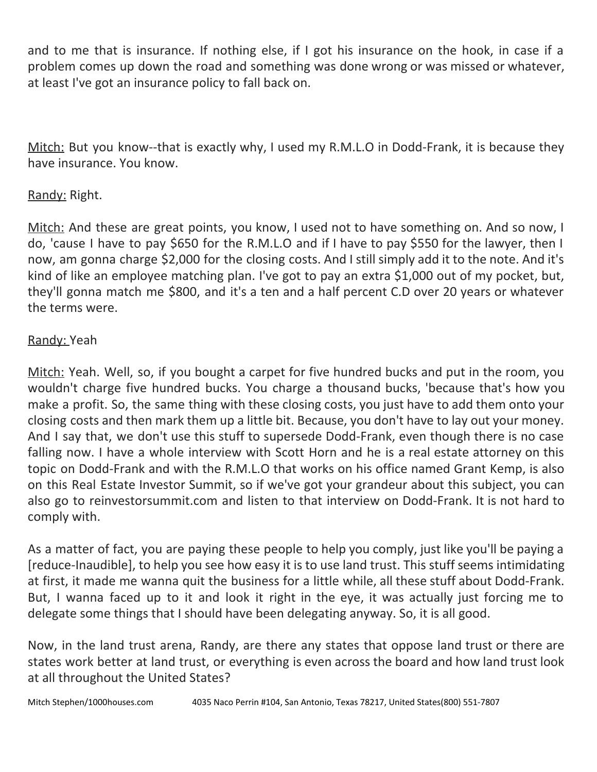and to me that is insurance. If nothing else, if I got his insurance on the hook, in case if a problem comes up down the road and something was done wrong or was missed or whatever, at least I've got an insurance policy to fall back on.

Mitch: But you know--that is exactly why, I used my R.M.L.O in Dodd-Frank, it is because they have insurance. You know.

## Randy: Right.

Mitch: And these are great points, you know, I used not to have something on. And so now, I do, 'cause I have to pay \$650 for the R.M.L.O and if I have to pay \$550 for the lawyer, then I now, am gonna charge \$2,000 for the closing costs. And I still simply add it to the note. And it's kind of like an employee matching plan. I've got to pay an extra \$1,000 out of my pocket, but, they'll gonna match me \$800, and it's a ten and a half percent C.D over 20 years or whatever the terms were.

### Randy: Yeah

Mitch: Yeah. Well, so, if you bought a carpet for five hundred bucks and put in the room, you wouldn't charge five hundred bucks. You charge a thousand bucks, 'because that's how you make a profit. So, the same thing with these closing costs, you just have to add them onto your closing costs and then mark them up a little bit. Because, you don't have to lay out your money. And I say that, we don't use this stuff to supersede Dodd-Frank, even though there is no case falling now. I have a whole interview with Scott Horn and he is a real estate attorney on this topic on Dodd-Frank and with the R.M.L.O that works on his office named Grant Kemp, is also on this Real Estate Investor Summit, so if we've got your grandeur about this subject, you can also go to reinvestorsummit.com and listen to that interview on Dodd-Frank. It is not hard to comply with.

As a matter of fact, you are paying these people to help you comply, just like you'll be paying a [reduce-Inaudible], to help you see how easy it is to use land trust. This stuff seems intimidating at first, it made me wanna quit the business for a little while, all these stuff about Dodd-Frank. But, I wanna faced up to it and look it right in the eye, it was actually just forcing me to delegate some things that I should have been delegating anyway. So, it is all good.

Now, in the land trust arena, Randy, are there any states that oppose land trust or there are states work better at land trust, or everything is even across the board and how land trust look at all throughout the United States?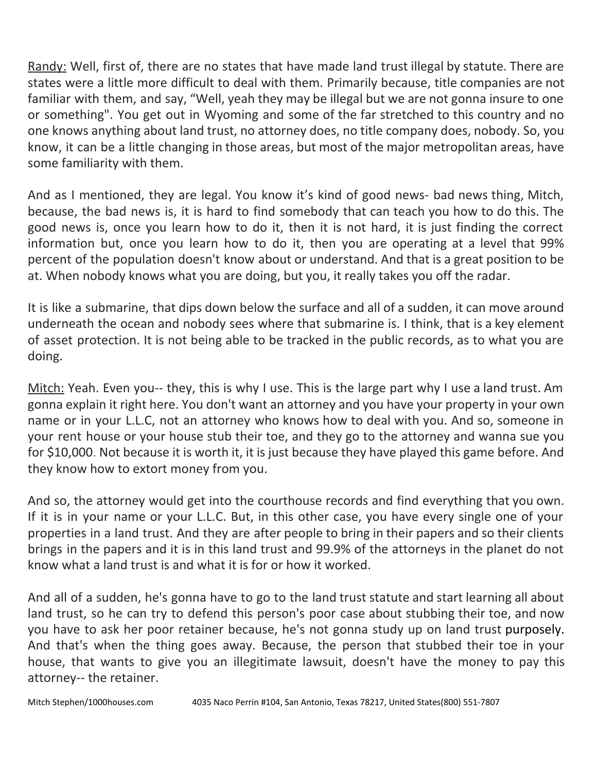Randy: Well, first of, there are no states that have made land trust illegal by statute. There are states were a little more difficult to deal with them. Primarily because, title companies are not familiar with them, and say, "Well, yeah they may be illegal but we are not gonna insure to one or something". You get out in Wyoming and some of the far stretched to this country and no one knows anything about land trust, no attorney does, no title company does, nobody. So, you know, it can be a little changing in those areas, but most of the major metropolitan areas, have some familiarity with them.

And as I mentioned, they are legal. You know it's kind of good news- bad news thing, Mitch, because, the bad news is, it is hard to find somebody that can teach you how to do this. The good news is, once you learn how to do it, then it is not hard, it is just finding the correct information but, once you learn how to do it, then you are operating at a level that 99% percent of the population doesn't know about or understand. And that is a great position to be at. When nobody knows what you are doing, but you, it really takes you off the radar.

It is like a submarine, that dips down below the surface and all of a sudden, it can move around underneath the ocean and nobody sees where that submarine is. I think, that is a key element of asset protection. It is not being able to be tracked in the public records, as to what you are doing.

Mitch: Yeah. Even you-- they, this is why I use. This is the large part why I use a land trust. Am gonna explain it right here. You don't want an attorney and you have your property in your own name or in your L.L.C, not an attorney who knows how to deal with you. And so, someone in your rent house or your house stub their toe, and they go to the attorney and wanna sue you for \$10,000. Not because it is worth it, it is just because they have played this game before. And they know how to extort money from you.

And so, the attorney would get into the courthouse records and find everything that you own. If it is in your name or your L.L.C. But, in this other case, you have every single one of your properties in a land trust. And they are after people to bring in their papers and so their clients brings in the papers and it is in this land trust and 99.9% of the attorneys in the planet do not know what a land trust is and what it is for or how it worked.

And all of a sudden, he's gonna have to go to the land trust statute and start learning all about land trust, so he can try to defend this person's poor case about stubbing their toe, and now you have to ask her poor retainer because, he's not gonna study up on land trust purposely. And that's when the thing goes away. Because, the person that stubbed their toe in your house, that wants to give you an illegitimate lawsuit, doesn't have the money to pay this attorney-- the retainer.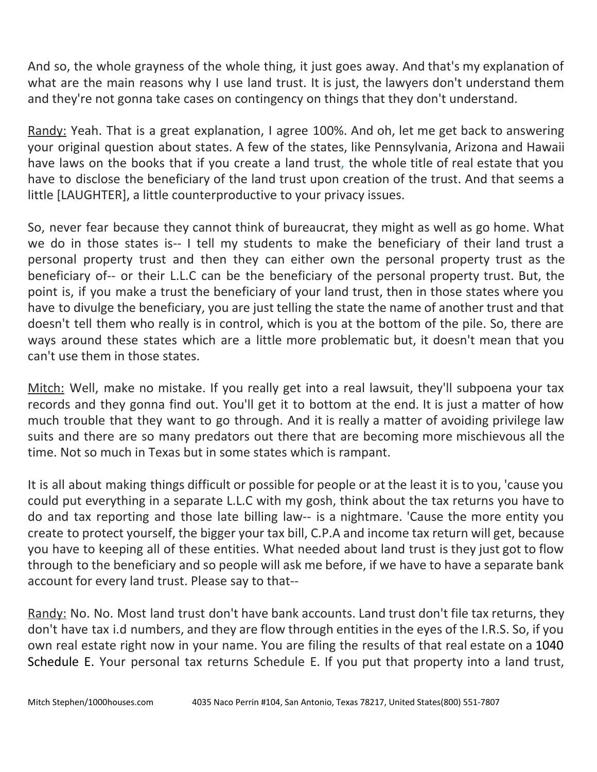And so, the whole grayness of the whole thing, it just goes away. And that's my explanation of what are the main reasons why I use land trust. It is just, the lawyers don't understand them and they're not gonna take cases on contingency on things that they don't understand.

Randy: Yeah. That is a great explanation, I agree 100%. And oh, let me get back to answering your original question about states. A few of the states, like Pennsylvania, Arizona and Hawaii have laws on the books that if you create a land trust, the whole title of real estate that you have to disclose the beneficiary of the land trust upon creation of the trust. And that seems a little [LAUGHTER], a little counterproductive to your privacy issues.

So, never fear because they cannot think of bureaucrat, they might as well as go home. What we do in those states is-- I tell my students to make the beneficiary of their land trust a personal property trust and then they can either own the personal property trust as the beneficiary of-- or their L.L.C can be the beneficiary of the personal property trust. But, the point is, if you make a trust the beneficiary of your land trust, then in those states where you have to divulge the beneficiary, you are just telling the state the name of another trust and that doesn't tell them who really is in control, which is you at the bottom of the pile. So, there are ways around these states which are a little more problematic but, it doesn't mean that you can't use them in those states.

Mitch: Well, make no mistake. If you really get into a real lawsuit, they'll subpoena your tax records and they gonna find out. You'll get it to bottom at the end. It is just a matter of how much trouble that they want to go through. And it is really a matter of avoiding privilege law suits and there are so many predators out there that are becoming more mischievous all the time. Not so much in Texas but in some states which is rampant.

It is all about making things difficult or possible for people or at the least it is to you, 'cause you could put everything in a separate L.L.C with my gosh, think about the tax returns you have to do and tax reporting and those late billing law-- is a nightmare. 'Cause the more entity you create to protect yourself, the bigger your tax bill, C.P.A and income tax return will get, because you have to keeping all of these entities. What needed about land trust is they just got to flow through to the beneficiary and so people will ask me before, if we have to have a separate bank account for every land trust. Please say to that--

Randy: No. No. Most land trust don't have bank accounts. Land trust don't file tax returns, they don't have tax i.d numbers, and they are flow through entities in the eyes of the I.R.S. So, if you own real estate right now in your name. You are filing the results of that real estate on a 1040 Schedule E. Your personal tax returns Schedule E. If you put that property into a land trust,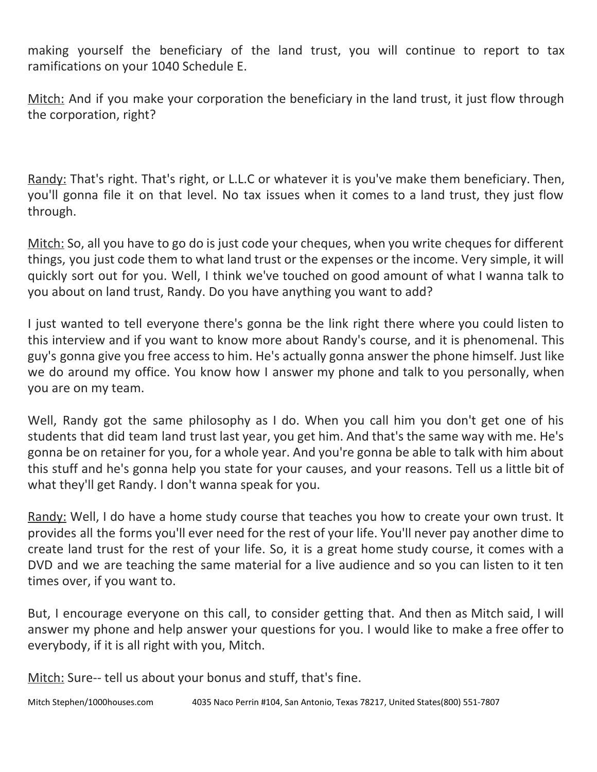making yourself the beneficiary of the land trust, you will continue to report to tax ramifications on your 1040 Schedule E.

Mitch: And if you make your corporation the beneficiary in the land trust, it just flow through the corporation, right?

Randy: That's right. That's right, or L.L.C or whatever it is you've make them beneficiary. Then, you'll gonna file it on that level. No tax issues when it comes to a land trust, they just flow through.

Mitch: So, all you have to go do is just code your cheques, when you write cheques for different things, you just code them to what land trust or the expenses or the income. Very simple, it will quickly sort out for you. Well, I think we've touched on good amount of what I wanna talk to you about on land trust, Randy. Do you have anything you want to add?

I just wanted to tell everyone there's gonna be the link right there where you could listen to this interview and if you want to know more about Randy's course, and it is phenomenal. This guy's gonna give you free access to him. He's actually gonna answer the phone himself. Just like we do around my office. You know how I answer my phone and talk to you personally, when you are on my team.

Well, Randy got the same philosophy as I do. When you call him you don't get one of his students that did team land trust last year, you get him. And that's the same way with me. He's gonna be on retainer for you, for a whole year. And you're gonna be able to talk with him about this stuff and he's gonna help you state for your causes, and your reasons. Tell us a little bit of what they'll get Randy. I don't wanna speak for you.

Randy: Well, I do have a home study course that teaches you how to create your own trust. It provides all the forms you'll ever need for the rest of your life. You'll never pay another dime to create land trust for the rest of your life. So, it is a great home study course, it comes with a DVD and we are teaching the same material for a live audience and so you can listen to it ten times over, if you want to.

But, I encourage everyone on this call, to consider getting that. And then as Mitch said, I will answer my phone and help answer your questions for you. I would like to make a free offer to everybody, if it is all right with you, Mitch.

Mitch: Sure-- tell us about your bonus and stuff, that's fine.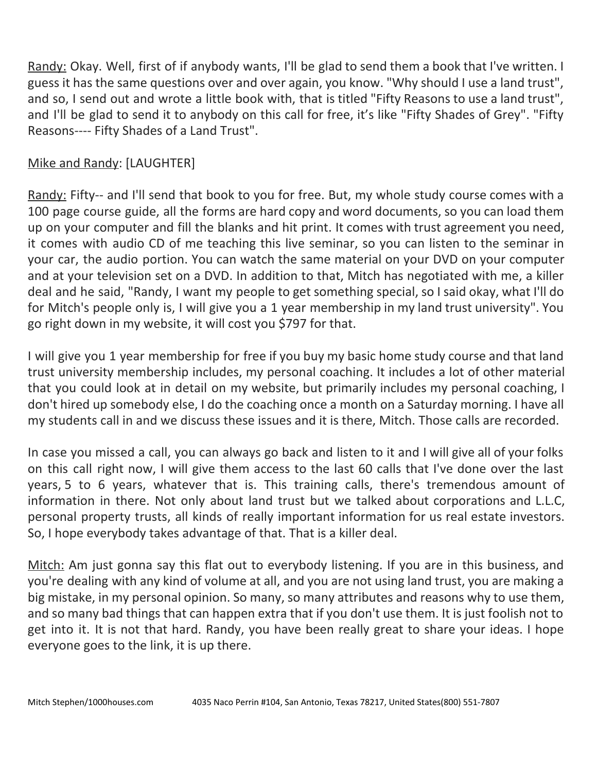Randy: Okay. Well, first of if anybody wants, I'll be glad to send them a book that I've written. I guess it has the same questions over and over again, you know. "Why should I use a land trust", and so, I send out and wrote a little book with, that is titled "Fifty Reasons to use a land trust", and I'll be glad to send it to anybody on this call for free, it's like "Fifty Shades of Grey". "Fifty Reasons---- Fifty Shades of a Land Trust".

## Mike and Randy: [LAUGHTER]

Randy: Fifty-- and I'll send that book to you for free. But, my whole study course comes with a 100 page course guide, all the forms are hard copy and word documents, so you can load them up on your computer and fill the blanks and hit print. It comes with trust agreement you need, it comes with audio CD of me teaching this live seminar, so you can listen to the seminar in your car, the audio portion. You can watch the same material on your DVD on your computer and at your television set on a DVD. In addition to that, Mitch has negotiated with me, a killer deal and he said, "Randy, I want my people to get something special, so I said okay, what I'll do for Mitch's people only is, I will give you a 1 year membership in my land trust university". You go right down in my website, it will cost you \$797 for that.

I will give you 1 year membership for free if you buy my basic home study course and that land trust university membership includes, my personal coaching. It includes a lot of other material that you could look at in detail on my website, but primarily includes my personal coaching, I don't hired up somebody else, I do the coaching once a month on a Saturday morning. I have all my students call in and we discuss these issues and it is there, Mitch. Those calls are recorded.

In case you missed a call, you can always go back and listen to it and I will give all of your folks on this call right now, I will give them access to the last 60 calls that I've done over the last years, 5 to 6 years, whatever that is. This training calls, there's tremendous amount of information in there. Not only about land trust but we talked about corporations and L.L.C, personal property trusts, all kinds of really important information for us real estate investors. So, I hope everybody takes advantage of that. That is a killer deal.

Mitch: Am just gonna say this flat out to everybody listening. If you are in this business, and you're dealing with any kind of volume at all, and you are not using land trust, you are making a big mistake, in my personal opinion. So many, so many attributes and reasons why to use them, and so many bad things that can happen extra that if you don't use them. It is just foolish not to get into it. It is not that hard. Randy, you have been really great to share your ideas. I hope everyone goes to the link, it is up there.